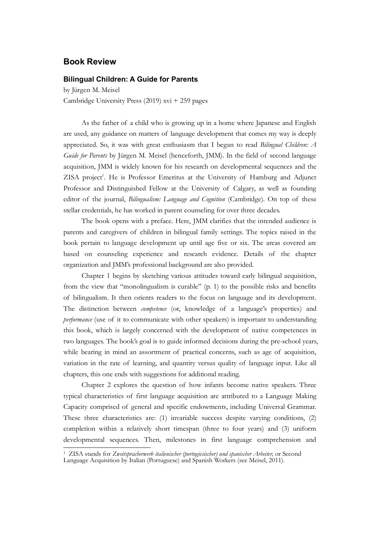## Book Review

## Bilingual Children: A Guide for Parents

by Jürgen M. Meisel Cambridge University Press (2019) xvi + 259 pages

**K Review**<br> **Review**<br> **Region M.** Meisel<br>
Fragen M. Meisel<br>
As the father of a child who is growing up in a home where Japanese and English<br>
As the father of a child who is growing up in a home where Japanese and English<br> are used, any guidance on matters of language development that comes my way is deeply appreciated. So, it was with great enthusiasm that I began to read Bilingual Children: A Guide for Parents by Jürgen M. Meisel (henceforth, JMM). In the field of second language acquisition, JMM is widely known for his research on developmental sequences and the ZISA project<sup>1</sup>. He is Professor Emeritus at the University of Hamburg and Adjunct **iddemic A Guide for Parents**<br>
desied<br>
diversity Press (2019) xvi + 259 pages<br>
ather of a child who is growing up in a home where Japanese and English<br>
guidance on matters of language development that comes my way is deepl **Book Review**<br> **Bilingual Children: A Guide for Parents**<br>
by Jürgen M. Meisel<br>
Cambridge University Press (2019)  $xvi + 259$  pages<br>
As the father of a child who is growing up in a home where Japanese and English<br>
arc used, a **Book Review**<br> **Bilingual Children: A Guide for Parents**<br>
by Jürgen M. Meisel<br>
Cambridge University Press (2019) xvi + 259 pages<br>
As the father of a child who is growing up in a home where Japanese and English<br>
are used, stellar credentials, he has worked in parent counseling for over three decades.

The book opens with a preface. Here, JMM clarifies that the intended audience is parents and caregivers of children in bilingual family settings. The topics raised in the book pertain to language development up until age five or six. The areas covered are based on counseling experience and research evidence. Details of the chapter organization and JMM's professional background are also provided.

Chapter 1 begins by sketching various attitudes toward early bilingual acquisition, from the view that "monolingualism is curable" (p. 1) to the possible risks and benefits appreciated. So, it was with great enthusiasm that I began to read *Bilingual Children:* A *Guide [or Parents* by Jürgen M. Mesiel (henceforth, JMM). In the field of second language inceptisition, JMM is widely known for h *Gaide for Parents* by Jürgen M. Meisel (henceforth, JMM). In the field of second language acquestion, JMM is widely known for his research on developmental sequences and the ZISA project'. He is Professor Emeritus at the performance (use of it to communicate with other speakers) is important to understanding this book, which is largely concerned with the development of native competences in two languages. The book's goal is to guide informed decisions during the pre-school years, while bearing in mind an assortment of practical concerns, such as age of acquisition, stellar credentials, he has worked in parent counseling for over three decades.<br>The book opens with a preface. Here, JMM clarifies that the intended audience is<br>parents and caregivers of children in bilingual family sterin chapters, this one ends with suggestions for additional reading. s and caregivers of children in bilingual family settings. The topics raised in the pertain to language development up until age five or six. The areas covered are on connessing experience and researche vividence. Details book pertain to language development up until age fire or six. The areas covered are<br>organization and JMM's professional background are also provided.<br>Chapter 1 begins by sketching various attitudes toward carly blingual a

Capacity comprised of general and specific endowments, including Universal Grammar. These three characteristics are: (1) invariable success despite varying conditions, (2) completion within a relatively short timespan (three to four years) and (3) uniform developmental sequences. Then, milestones in first language comprehension and

<sup>1</sup> ZISA stands for Zweitspracherwerb italienischer (portugiesischer) und spanischer Arbeiter, or Second Language Acquisition by Italian (Portuguese) and Spanish Workers (see Meisel, 2011).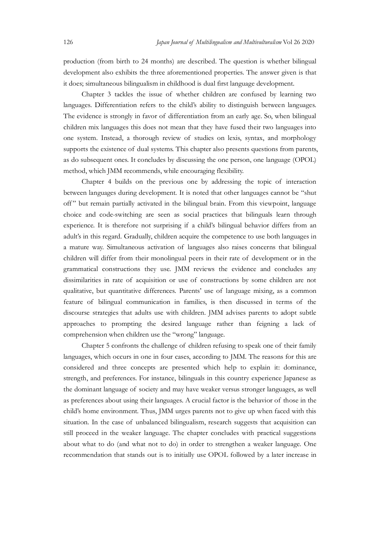Japan Journal of Multilingualism and Multivulturalism Vol 26 2020<br>production (from birth to 24 months) are described. The question is whether bilingual<br>development also exhibits the three aforementioned properties. The ans production (from birth to 24 months) are described. The question is whether bilingual development also exhibits the three aforementioned properties. The answer given is that it does; simultaneous bilingualism in childhood is dual first language development.

Japan Journal of Multilingualism and Multinulturalism Vol 26 2020<br>cition (from birth to 24 months) are described. The question is whether bilingual<br>pment also exhibits the three aforementioned properties. The answer given languages. Differentiation refers to the child's ability to distinguish between languages. The evidence is strongly in favor of differentiation from an early age. So, when bilingual children mix languages this does not mean that they have fused their two languages into one system. Instead, a thorough review of studies on lexis, syntax, and morphology Support 126 *Jayon Journal of Multilingualism and Multimiltaralism* Vol 26 2020<br>
production (from birth to 24 months) are described. The question is whether bilingual<br>
development also exhibits the three aforementioned pro as do subsequent ones. It concludes by discussing the one person, one language (OPOL) method, which JMM recommends, while encouraging flexibility. production (from birth to 24 months) are described. The question is whether bilingual development also exhibits the three aforementioned properties. The answer given is that it does; simultaneous bilingualism in childhood

Chapter 4 builds on the previous one by addressing the topic of interaction between languages during development. It is noted that other languages cannot be "shut choice and code-switching are seen as social practices that bilinguals learn through experience. It is therefore not surprising if a child's bilingual behavior differs from an adult's in this regard. Gradually, children acquire the competence to use both languages in Chapter 3 tackles the issue of whether children are confused by learning two<br>languages. Differentiation refers to the child's ability to distinguisti between languages.<br>The cvidence is strongly in favor of differentiation Innguages. Differentiation refers to the child's ability to distinguish between languages.<br>The evidence is strongly in favor of differentiation from an early age. So, when bilingual<br>children mix languages this does not mea grammatical constructions they use. JMM reviews the evidence and concludes any children mix languages this does not mean that they have fused their two languages into one system. Instead, a through review of studies on lexis, syntax, and morphology solons the existence of dual systems. This chapter a qualitative, but quantitative differences. Parents' use of language mixing, as a common supports the existence of dual systems. This chapter also presents questions from parents,<br>as do subsequent ones. It concludes by discussing the one person, one language (OPOI)<br>method, which JMM recommends, while encouragi discourse strategies that adults use with children. JMM advises parents to adopt subtle approaches to prompting the desired language rather than feigning a lack of comprehension when children use the "wrong" language. en languages during development. It is noted that other languages cannot be "shut ut remain partially activated in the bilingual brain. From this viewpoint, language and code-switching are seen as cocial practices that bil adult's in this regard. Gradually, children acquire the competence to use both languages in a mature way. Simultaneous activation of languages also raises concerns that bilingual persident will differ from the rehaldent wi

languages, which occurs in one in four cases, according to JMM. The reasons for this are considered and three concepts are presented which help to explain it: dominance, strength, and preferences. For instance, bilinguals in this country experience Japanese as as preferences about using their languages. A crucial factor is the behavior of those in the child's home environment. Thus, JMM urges parents not to give up when faced with this situation. In the case of unbalanced bilingualism, research suggests that acquisition can still proceed in the weaker language. The chapter concludes with practical suggestions about what to do (and what not to do) in order to strengthen a weaker language. One recommendation that stands out is to initially use OPOL followed by a later increase in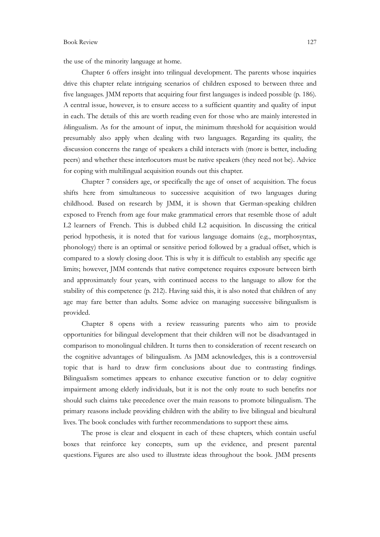## Book Review 127

the use of the minority language at home.

Chapter 6 offers insight into trilingual development. The parents whose inquiries 127<br>the use of the minority language at home.<br>Chapter 6 offers insight into trilingual development. The parents whose inquiries<br>drive this chapter relate intriguing scenarios of children exposed to between three and<br>five l five languages. JMM reports that acquiring four first languages is indeed possible (p. 186). A central issue, however, is to ensure access to a sufficient quantity and quality of input 127<br>the use of the minority language at home.<br>Chapter 6 offers insight into trilingual development. The parents whose inquiries<br>drive this chapter relate intriguing scenarios of children exposed to between three and<br>five l bilingualism. As for the amount of input, the minimum threshold for acquisition would presumably also apply when dealing with two languages. Regarding its quality, the discussion concerns the range of speakers a child interacts with (more is better, including peers) and whether these interlocutors must be native speakers (they need not be). Advice for coping with multilingual acquisition rounds out this chapter. 127<br>
corid consider the minority language at home.<br>
Chapter 6 offers insight into trilingual development. The parents whose inquiries<br>
this chapter relate intriguing scenarios of children exposed to between three and<br>
agea Chapter 6 offers insight into trilingual development. The parents whose inquiries<br>drive this chapter relate intriguing scenarios of children exposed to between three and<br>Five languages. JMM reports that acquiring four firs

shifts here from simultaneous to successive acquisition of two languages during childhood. Based on research by JMM, it is shown that German-speaking children exposed to French from age four make grammatical errors that resemble those of adult period hypothesis, it is noted that for various language domains (e.g., morphosyntax, phonology) there is an optimal or sensitive period followed by a gradual offset, which is compared to a slowly closing door. This is why it is difficult to establish any specific age limits; however, JMM contends that native competence requires exposure between birth and approximately four years, with continued access to the language to allow for the presumably also apply when dealing with two languages. Regarding its quality, the discussion concerns the range of speakers a child interacts with (more is better, including perces) and whether these interdevents must be n age may fare better than adults. Some advice on managing successive bilingualism is provided. shifts here from simultaneous to successive acquisition of two languages during<br>ehildhood. Based on research by JMM, it is shown that German-speaking children<br>exposed to French from age four make grammatical crons that res

Chapter 8 opens with a review reassuring parents who aim to provide opportunities for bilingual development that their children will not be disadvantaged in the cognitive advantages of bilingualism. As JMM acknowledges, this is a controversial topic that is hard to draw firm conclusions about due to contrasting findings. Bilingualism sometimes appears to enhance executive function or to delay cognitive impairment among elderly individuals, but it is not the only route to such benefits nor should such claims take precedence over the main reasons to promote bilingualism. The primary reasons include providing children with the ability to live bilingual and bicultural lives. The book concludes with further recommendations to support these aims. provimately four years, with continued access to the language to allow for the syof this competence (p. 212). Having said this, it is also noted that childen of any are better than adults. Some advice on managing successiv

boxes that reinforce key concepts, sum up the evidence, and present parental questions. Figures are also used to illustrate ideas throughout the book. JMM presents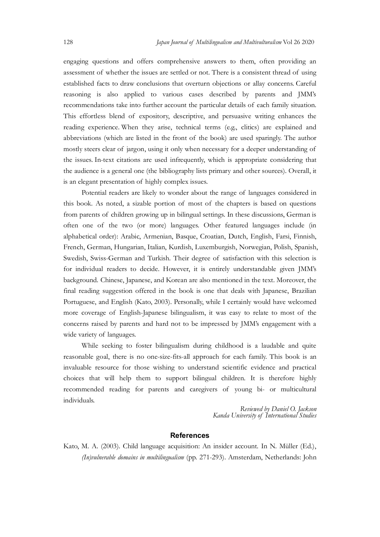128 Japan Journal of Multilingualism and Multivulturalism Vol 26 2020<br>
engaging questions and offers comprehensive answers to them, often providing an<br>
assessment of whether the issues are settled or not. There is a consis engaging questions and offers comprehensive answers to them, often providing an assessment of whether the issues are settled or not. There is a consistent thread of using established facts to draw conclusions that overturn objections or allay concerns. Careful reasoning is also applied to various cases described by parents and JMM's recommendations take into further account the particular details of each family situation. This effortless blend of expository, descriptive, and persuasive writing enhances the reading experience. When they arise, technical terms (e.g., clitics) are explained and abbreviations (which are listed in the front of the book) are used sparingly. The author *Ignan Journal of Multilinganism and Multimultaration* Vol 26 2020<br>engaging questions and offers comprehensive answers to them, often providing an<br>assessment of whether the issues are settled or not. There is a consistent the issues. In-text citations are used infrequently, which is appropriate considering that the audience is a general one (the bibliography lists primary and other sources). Overall, it is an elegant presentation of highly complex issues. Japan Journal of Multilingualium and Multimulturalium Yol 26 2020<br>mg questions and offers comprehensive answers to them, often providing an<br>ment of whether the issues are settled or not. There is a consistent thread of usi engaging questions and offers comprehensive answers to them, often providing an assessment of whether the issues are settled or not. There is a consistent thread of using established facts to draw conclusions that overturn

from parents of children growing up in bilingual settings. In these discussions, German is often one of the two (or more) languages. Other featured languages include (in alphabetical order): Arabic, Armenian, Basque, Croatian, Dutch, English, Farsi, Finnish, French, German, Hungarian, Italian, Kurdish, Luxemburgish, Norwegian, Polish, Spanish, Swedish, Swiss-German and Turkish. Their degree of satisfaction with this selection is for individual readers to decide. However, it is entirely understandable given JMM's background. Chinese, Japanese, and Korean are also mentioned in the text. Moreover, the final reading suggestion offered in the book is one that deals with Japanese, Brazilian Portuguese, and English (Kato, 2003). Personally, while I certainly would have welcomed more coverage of English-Japanese bilingualism, it was easy to relate to most of the concerns raised by parents and hard not to be impressed by JMM's engagement with a is an elegant presentation of highly complex issues.<br>
Dotential readers are likely to wonder about the range of languages considered ithis book. As noted, a sizable portion of most of the chapters is based on question<br>
fro alphabetical order): Arabic, Armenian, Basque, Croatian, Dutch, Finglish, Farsi, Finnish, Frecoch, German, Huargarian, Italian, Kurdish, Luxemburgish, Novergian, Polishi, Spanish, Societish, Societish, Societish, Societish or saustaction with this selection is<br>thirely understandable given JMM's<br>mentioned in the text. Moreover, the<br>e that deals with Japanese, Brazilian<br>nile I certainly would have welcomed<br>vas easy to relate to most of the<br>res

While seeking to foster bilingualism during childhood is a laudable and quite reasonable goal, there is no one-size-fits-all approach for each family. This book is an invaluable resource for those wishing to understand scientific evidence and practical choices that will help them to support bilingual children. It is therefore highly individuals.

Reviewed by Daniel O. Jackson<br>Kanda University of International Studies

## References

Kato, M. A. (2003). Child language acquisition: An insider account. In N. Müller (Ed.), (In)vulnerable domains in multilingualism (pp. 271-293). Amsterdam, Netherlands: John